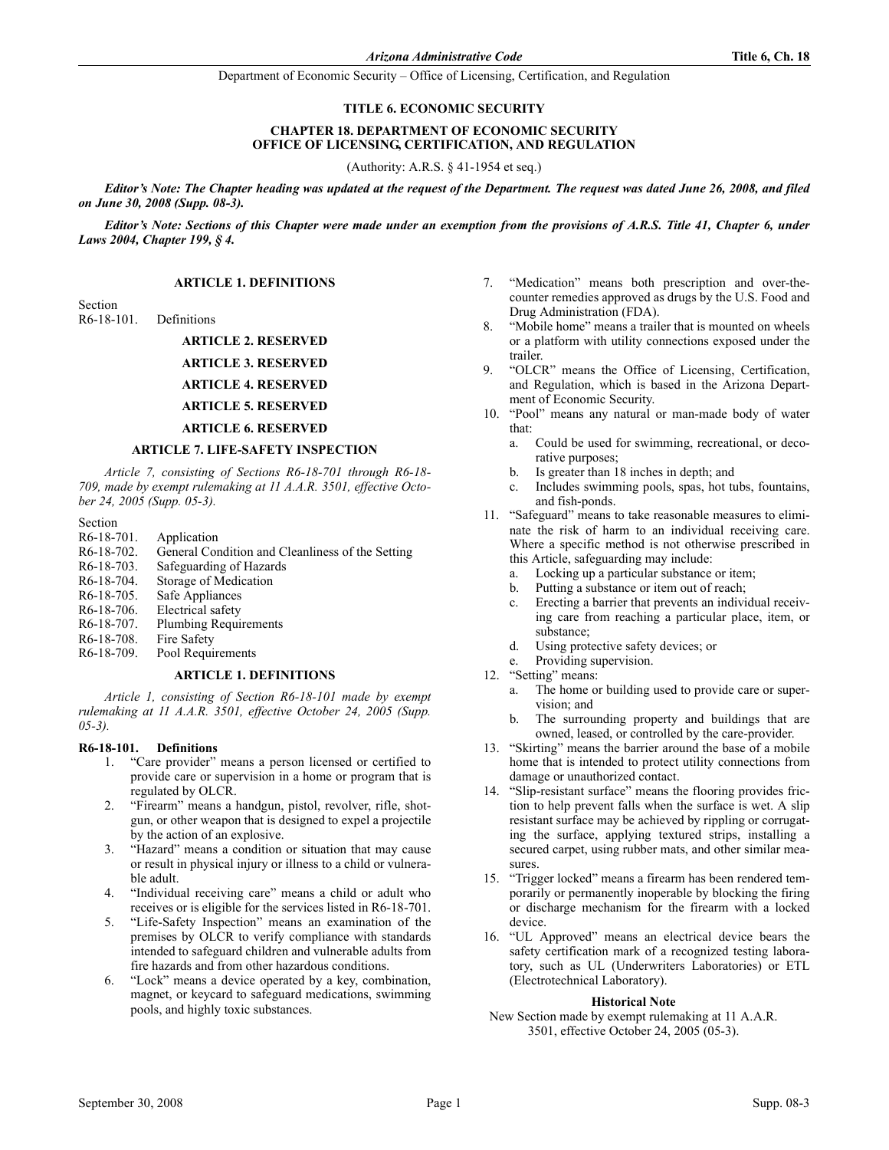Department of Economic Security – Office of Licensing, Certification, and Regulation

#### TITLE 6. ECONOMIC SECURITY

#### CHAPTER 18. DEPARTMENT OF ECONOMIC SECURITY OFFICE OF LICENSING, CERTIFICATION, AND REGULATION

(Authority: A.R.S. § 41-1954 et seq.)

Editor's Note: The Chapter heading was updated at the request of the Department. The request was dated June 26, 2008, and filed on June 30, 2008 (Supp. 08-3).

Editor's Note: Sections of this Chapter were made under an exemption from the provisions of A.R.S. Title 41, Chapter 6, under Laws 2004, Chapter 199, § 4.

#### **ARTICLE 1. DEFINITIONS**

Section<br> $R6-18-101$ . **Definitions** 

ARTICLE 2. RESERVED

ARTICLE 3. RESERVED

ARTICLE 4. RESERVED

ARTICLE 5. RESERVED

# ARTICLE 6. RESERVED

#### ARTICLE 7. LIFE-SAFETY INSPECTION

Article 7, consisting of Sections R6-18-701 through R6-18- 709, made by exempt rulemaking at 11 A.A.R. 3501, effective October 24, 2005 (Supp. 05-3).

- Section<br>R6-18-701. R6-18-701. Application<br>R6-18-702. General Cor
- General Condition and Cleanliness of the Setting
- R6-18-703. Safeguarding of Hazards
- R6-18-704. Storage of Medication<br>R6-18-705. Safe Appliances
- Safe Appliances
- R6-18-706. Electrical safety
- R6-18-707. Plumbing Requirements
- R6-18-708. Fire Safety<br>R6-18-709. Pool Requi
- Pool Requirements

#### **ARTICLE 1. DEFINITIONS**

Article 1, consisting of Section R6-18-101 made by exempt rulemaking at 11 A.A.R. 3501, effective October 24, 2005 (Supp. 05-3).

#### R6-18-101. Definitions

- 1. "Care provider" means a person licensed or certified to provide care or supervision in a home or program that is regulated by OLCR.
- 2. "Firearm" means a handgun, pistol, revolver, rifle, shotgun, or other weapon that is designed to expel a projectile by the action of an explosive.
- 3. "Hazard" means a condition or situation that may cause or result in physical injury or illness to a child or vulnerable adult.
- 4. "Individual receiving care" means a child or adult who receives or is eligible for the services listed in R6-18-701.
- 5. "Life-Safety Inspection" means an examination of the premises by OLCR to verify compliance with standards intended to safeguard children and vulnerable adults from fire hazards and from other hazardous conditions.
- 6. "Lock" means a device operated by a key, combination, magnet, or keycard to safeguard medications, swimming pools, and highly toxic substances.
- 7. "Medication" means both prescription and over-thecounter remedies approved as drugs by the U.S. Food and Drug Administration (FDA).
- 8. "Mobile home" means a trailer that is mounted on wheels or a platform with utility connections exposed under the trailer.
- 9. "OLCR" means the Office of Licensing, Certification, and Regulation, which is based in the Arizona Department of Economic Security.
- 10. "Pool" means any natural or man-made body of water that:
	- a. Could be used for swimming, recreational, or decorative purposes;
	- b. Is greater than 18 inches in depth; and
	- c. Includes swimming pools, spas, hot tubs, fountains, and fish-ponds.
- 11. "Safeguard" means to take reasonable measures to eliminate the risk of harm to an individual receiving care. Where a specific method is not otherwise prescribed in this Article, safeguarding may include:
	- a. Locking up a particular substance or item;
	- b. Putting a substance or item out of reach;
	- c. Erecting a barrier that prevents an individual receiving care from reaching a particular place, item, or substance;
	- d. Using protective safety devices; or
	- e. Providing supervision.
- 12. "Setting" means:
	- a. The home or building used to provide care or supervision; and
	- b. The surrounding property and buildings that are owned, leased, or controlled by the care-provider.
- 13. "Skirting" means the barrier around the base of a mobile home that is intended to protect utility connections from damage or unauthorized contact.
- 14. "Slip-resistant surface" means the flooring provides friction to help prevent falls when the surface is wet. A slip resistant surface may be achieved by rippling or corrugating the surface, applying textured strips, installing a secured carpet, using rubber mats, and other similar measures.
- 15. "Trigger locked" means a firearm has been rendered temporarily or permanently inoperable by blocking the firing or discharge mechanism for the firearm with a locked device.
- 16. "UL Approved" means an electrical device bears the safety certification mark of a recognized testing laboratory, such as UL (Underwriters Laboratories) or ETL (Electrotechnical Laboratory).

#### **Historical Note**

New Section made by exempt rulemaking at 11 A.A.R. 3501, effective October 24, 2005 (05-3).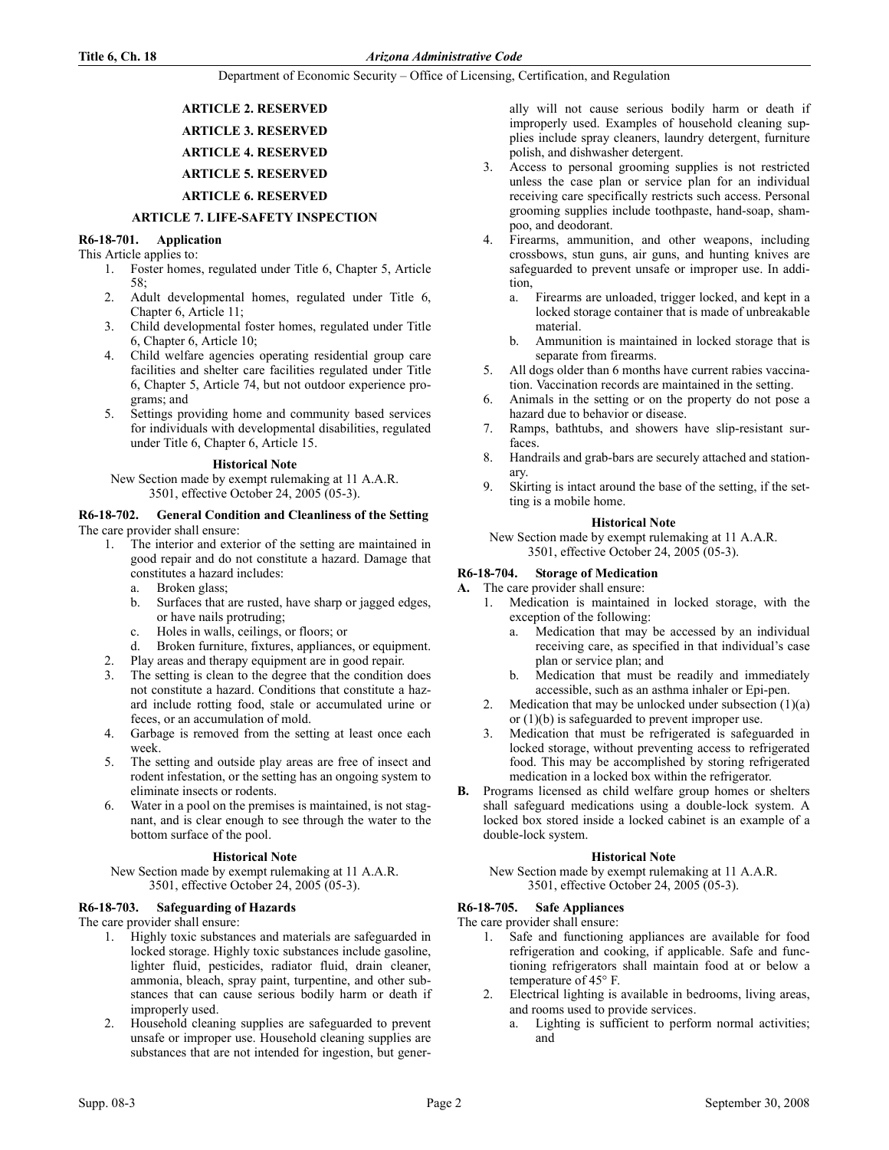# Department of Economic Security – Office of Licensing, Certification, and Regulation

# ARTICLE 2. RESERVED ARTICLE 3. RESERVED ARTICLE 4. RESERVED ARTICLE 5. RESERVED ARTICLE 6. RESERVED

# ARTICLE 7. LIFE-SAFETY INSPECTION

# R6-18-701. Application

- This Article applies to:
	- 1. Foster homes, regulated under Title 6, Chapter 5, Article 58;
	- 2. Adult developmental homes, regulated under Title 6, Chapter 6, Article 11;
	- 3. Child developmental foster homes, regulated under Title 6, Chapter 6, Article 10;
	- 4. Child welfare agencies operating residential group care facilities and shelter care facilities regulated under Title 6, Chapter 5, Article 74, but not outdoor experience programs; and
	- 5. Settings providing home and community based services for individuals with developmental disabilities, regulated under Title 6, Chapter 6, Article 15.

# **Historical Note**

New Section made by exempt rulemaking at 11 A.A.R. 3501, effective October 24, 2005 (05-3).

#### R6-18-702. General Condition and Cleanliness of the Setting The care provider shall ensure:

- 1. The interior and exterior of the setting are maintained in good repair and do not constitute a hazard. Damage that constitutes a hazard includes:
	- a. Broken glass;
	- b. Surfaces that are rusted, have sharp or jagged edges, or have nails protruding;
	- c. Holes in walls, ceilings, or floors; or
	- d. Broken furniture, fixtures, appliances, or equipment.
- 2. Play areas and therapy equipment are in good repair.
- 3. The setting is clean to the degree that the condition does not constitute a hazard. Conditions that constitute a hazard include rotting food, stale or accumulated urine or feces, or an accumulation of mold.
- 4. Garbage is removed from the setting at least once each week.
- 5. The setting and outside play areas are free of insect and rodent infestation, or the setting has an ongoing system to eliminate insects or rodents.
- 6. Water in a pool on the premises is maintained, is not stagnant, and is clear enough to see through the water to the bottom surface of the pool.

# **Historical Note**

New Section made by exempt rulemaking at 11 A.A.R. 3501, effective October 24, 2005 (05-3).

# R6-18-703. Safeguarding of Hazards

The care provider shall ensure:

- 1. Highly toxic substances and materials are safeguarded in locked storage. Highly toxic substances include gasoline, lighter fluid, pesticides, radiator fluid, drain cleaner, ammonia, bleach, spray paint, turpentine, and other substances that can cause serious bodily harm or death if improperly used.
- 2. Household cleaning supplies are safeguarded to prevent unsafe or improper use. Household cleaning supplies are substances that are not intended for ingestion, but gener-

ally will not cause serious bodily harm or death if improperly used. Examples of household cleaning supplies include spray cleaners, laundry detergent, furniture polish, and dishwasher detergent.

- 3. Access to personal grooming supplies is not restricted unless the case plan or service plan for an individual receiving care specifically restricts such access. Personal grooming supplies include toothpaste, hand-soap, shampoo, and deodorant.
- 4. Firearms, ammunition, and other weapons, including crossbows, stun guns, air guns, and hunting knives are safeguarded to prevent unsafe or improper use. In addition,
	- a. Firearms are unloaded, trigger locked, and kept in a locked storage container that is made of unbreakable material.
	- b. Ammunition is maintained in locked storage that is separate from firearms.
- 5. All dogs older than 6 months have current rabies vaccination. Vaccination records are maintained in the setting.
- 6. Animals in the setting or on the property do not pose a hazard due to behavior or disease.
- 7. Ramps, bathtubs, and showers have slip-resistant surfaces.
- 8. Handrails and grab-bars are securely attached and stationary.
- 9. Skirting is intact around the base of the setting, if the setting is a mobile home.

#### **Historical Note**

New Section made by exempt rulemaking at 11 A.A.R. 3501, effective October 24, 2005 (05-3).

# R6-18-704. Storage of Medication

# A. The care provider shall ensure:

- 1. Medication is maintained in locked storage, with the exception of the following:
	- a. Medication that may be accessed by an individual receiving care, as specified in that individual's case plan or service plan; and
	- b. Medication that must be readily and immediately accessible, such as an asthma inhaler or Epi-pen.
- 2. Medication that may be unlocked under subsection  $(1)(a)$ or (1)(b) is safeguarded to prevent improper use.
- 3. Medication that must be refrigerated is safeguarded in locked storage, without preventing access to refrigerated food. This may be accomplished by storing refrigerated medication in a locked box within the refrigerator.
- B. Programs licensed as child welfare group homes or shelters shall safeguard medications using a double-lock system. A locked box stored inside a locked cabinet is an example of a double-lock system.

# **Historical Note**

New Section made by exempt rulemaking at 11 A.A.R. 3501, effective October 24, 2005 (05-3).

# R6-18-705. Safe Appliances

The care provider shall ensure:

- 1. Safe and functioning appliances are available for food refrigeration and cooking, if applicable. Safe and functioning refrigerators shall maintain food at or below a temperature of 45° F.
- 2. Electrical lighting is available in bedrooms, living areas, and rooms used to provide services.
	- a. Lighting is sufficient to perform normal activities; and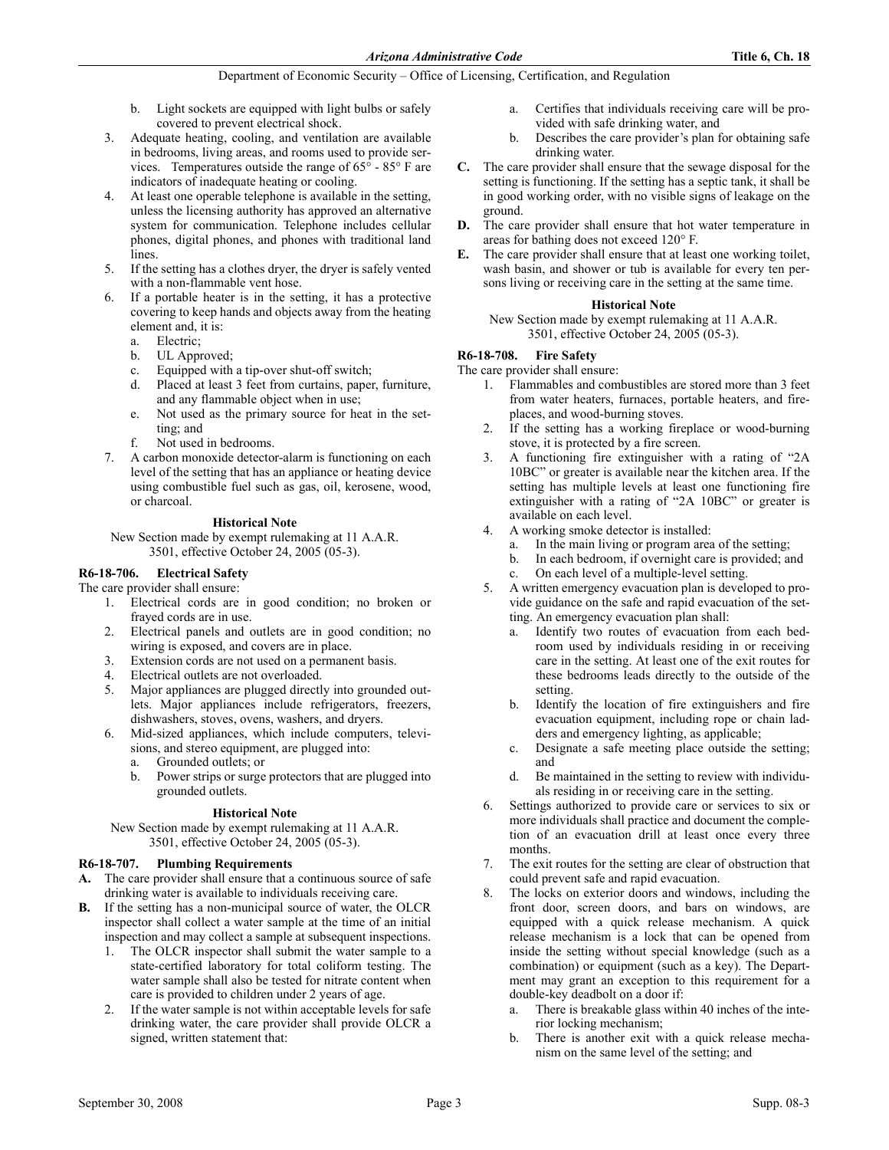Department of Economic Security – Office of Licensing, Certification, and Regulation

- b. Light sockets are equipped with light bulbs or safely covered to prevent electrical shock.
- 3. Adequate heating, cooling, and ventilation are available in bedrooms, living areas, and rooms used to provide services. Temperatures outside the range of  $65^{\circ}$  -  $85^{\circ}$  F are indicators of inadequate heating or cooling.
- 4. At least one operable telephone is available in the setting, unless the licensing authority has approved an alternative system for communication. Telephone includes cellular phones, digital phones, and phones with traditional land lines.
- 5. If the setting has a clothes dryer, the dryer is safely vented with a non-flammable vent hose.
- 6. If a portable heater is in the setting, it has a protective covering to keep hands and objects away from the heating element and, it is:
	- a. Electric;
	- b. UL Approved;
	- c. Equipped with a tip-over shut-off switch;
	- d. Placed at least 3 feet from curtains, paper, furniture, and any flammable object when in use;
	- e. Not used as the primary source for heat in the setting; and
	- f. Not used in bedrooms.
- 7. A carbon monoxide detector-alarm is functioning on each level of the setting that has an appliance or heating device using combustible fuel such as gas, oil, kerosene, wood, or charcoal.

#### **Historical Note**

New Section made by exempt rulemaking at 11 A.A.R. 3501, effective October 24, 2005 (05-3).

# R6-18-706. Electrical Safety

# The care provider shall ensure:

- 1. Electrical cords are in good condition; no broken or frayed cords are in use.
- 2. Electrical panels and outlets are in good condition; no wiring is exposed, and covers are in place.
- 3. Extension cords are not used on a permanent basis.
- 4. Electrical outlets are not overloaded.
- 5. Major appliances are plugged directly into grounded outlets. Major appliances include refrigerators, freezers, dishwashers, stoves, ovens, washers, and dryers.
- 6. Mid-sized appliances, which include computers, televisions, and stereo equipment, are plugged into:
	- a. Grounded outlets; or
	- b. Power strips or surge protectors that are plugged into grounded outlets.

# **Historical Note**

New Section made by exempt rulemaking at 11 A.A.R. 3501, effective October 24, 2005 (05-3).

# R6-18-707. Plumbing Requirements

- A. The care provider shall ensure that a continuous source of safe drinking water is available to individuals receiving care.
- B. If the setting has a non-municipal source of water, the OLCR inspector shall collect a water sample at the time of an initial inspection and may collect a sample at subsequent inspections.
	- 1. The OLCR inspector shall submit the water sample to a state-certified laboratory for total coliform testing. The water sample shall also be tested for nitrate content when care is provided to children under 2 years of age.
	- 2. If the water sample is not within acceptable levels for safe drinking water, the care provider shall provide OLCR a signed, written statement that:
- a. Certifies that individuals receiving care will be provided with safe drinking water, and
- b. Describes the care provider's plan for obtaining safe drinking water.
- C. The care provider shall ensure that the sewage disposal for the setting is functioning. If the setting has a septic tank, it shall be in good working order, with no visible signs of leakage on the ground.
- D. The care provider shall ensure that hot water temperature in areas for bathing does not exceed 120° F.
- E. The care provider shall ensure that at least one working toilet, wash basin, and shower or tub is available for every ten persons living or receiving care in the setting at the same time.

# **Historical Note**

New Section made by exempt rulemaking at 11 A.A.R. 3501, effective October 24, 2005 (05-3).

# R6-18-708. Fire Safety

The care provider shall ensure:

- 1. Flammables and combustibles are stored more than 3 feet from water heaters, furnaces, portable heaters, and fireplaces, and wood-burning stoves.
- 2. If the setting has a working fireplace or wood-burning stove, it is protected by a fire screen.
- 3. A functioning fire extinguisher with a rating of "2A 10BC" or greater is available near the kitchen area. If the setting has multiple levels at least one functioning fire extinguisher with a rating of "2A 10BC" or greater is available on each level.
- 4. A working smoke detector is installed:
	- a. In the main living or program area of the setting;
	- b. In each bedroom, if overnight care is provided; and
	- On each level of a multiple-level setting.
- 5. A written emergency evacuation plan is developed to provide guidance on the safe and rapid evacuation of the setting. An emergency evacuation plan shall:
	- a. Identify two routes of evacuation from each bedroom used by individuals residing in or receiving care in the setting. At least one of the exit routes for these bedrooms leads directly to the outside of the setting.
	- b. Identify the location of fire extinguishers and fire evacuation equipment, including rope or chain ladders and emergency lighting, as applicable;
	- c. Designate a safe meeting place outside the setting; and
	- d. Be maintained in the setting to review with individuals residing in or receiving care in the setting.
- 6. Settings authorized to provide care or services to six or more individuals shall practice and document the completion of an evacuation drill at least once every three months.
- 7. The exit routes for the setting are clear of obstruction that could prevent safe and rapid evacuation.
- 8. The locks on exterior doors and windows, including the front door, screen doors, and bars on windows, are equipped with a quick release mechanism. A quick release mechanism is a lock that can be opened from inside the setting without special knowledge (such as a combination) or equipment (such as a key). The Department may grant an exception to this requirement for a double-key deadbolt on a door if:
	- a. There is breakable glass within 40 inches of the interior locking mechanism;
	- There is another exit with a quick release mechanism on the same level of the setting; and